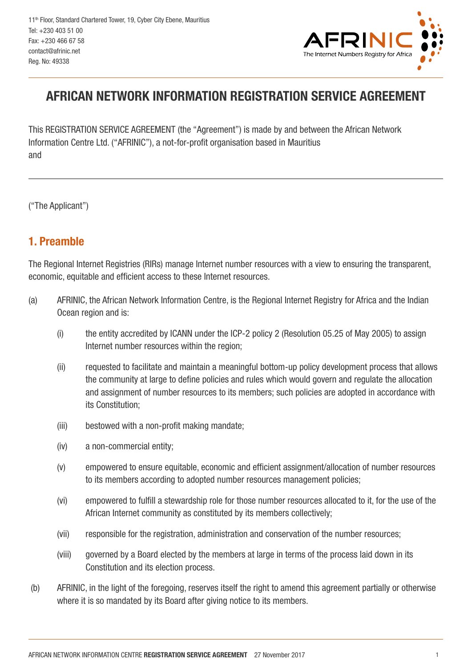

# AFRICAN NETWORK INFORMATION REGISTRATION SERVICE AGREEMENT

This REGISTRATION SERVICE AGREEMENT (the "Agreement") is made by and between the African Network Information Centre Ltd. ("AFRINIC"), a not-for-profit organisation based in Mauritius and

("The Applicant")

#### 1. Preamble

The Regional Internet Registries (RIRs) manage Internet number resources with a view to ensuring the transparent, economic, equitable and efficient access to these Internet resources.

- (a) AFRINIC, the African Network Information Centre, is the Regional Internet Registry for Africa and the Indian Ocean region and is:
	- (i) the entity accredited by ICANN under the ICP-2 policy 2 (Resolution 05.25 of May 2005) to assign Internet number resources within the region;
	- (ii) requested to facilitate and maintain a meaningful bottom-up policy development process that allows the community at large to define policies and rules which would govern and regulate the allocation and assignment of number resources to its members; such policies are adopted in accordance with its Constitution;
	- (iii) bestowed with a non-profit making mandate;
	- (iv) a non-commercial entity;
	- (v) empowered to ensure equitable, economic and efficient assignment/allocation of number resources to its members according to adopted number resources management policies;
	- (vi) empowered to fulfill a stewardship role for those number resources allocated to it, for the use of the African Internet community as constituted by its members collectively;
	- (vii) responsible for the registration, administration and conservation of the number resources;
	- (viii) governed by a Board elected by the members at large in terms of the process laid down in its Constitution and its election process.
- (b) AFRINIC, in the light of the foregoing, reserves itself the right to amend this agreement partially or otherwise where it is so mandated by its Board after giving notice to its members.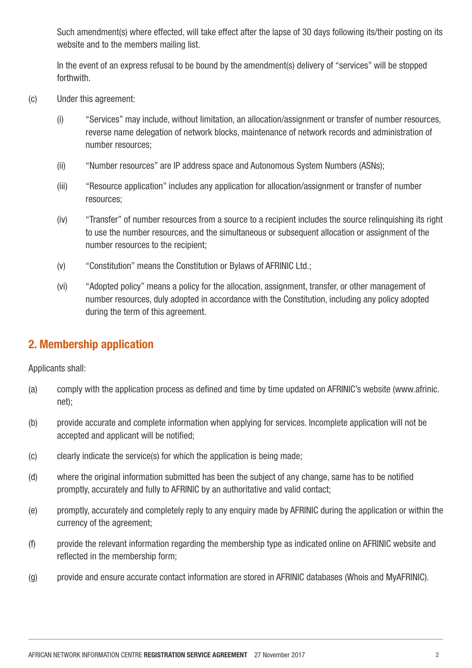Such amendment(s) where effected, will take effect after the lapse of 30 days following its/their posting on its website and to the members mailing list.

In the event of an express refusal to be bound by the amendment(s) delivery of "services" will be stopped forthwith.

- (c) Under this agreement:
	- (i) "Services" may include, without limitation, an allocation/assignment or transfer of number resources, reverse name delegation of network blocks, maintenance of network records and administration of number resources;
	- (ii) "Number resources" are IP address space and Autonomous System Numbers (ASNs);
	- (iii) "Resource application" includes any application for allocation/assignment or transfer of number resources;
	- (iv) "Transfer" of number resources from a source to a recipient includes the source relinquishing its right to use the number resources, and the simultaneous or subsequent allocation or assignment of the number resources to the recipient;
	- (v) "Constitution" means the Constitution or Bylaws of AFRINIC Ltd.;
	- (vi) "Adopted policy" means a policy for the allocation, assignment, transfer, or other management of number resources, duly adopted in accordance with the Constitution, including any policy adopted during the term of this agreement.

### 2. Membership application

Applicants shall:

- (a) comply with the application process as defined and time by time updated on AFRINIC's website (www.afrinic. net);
- (b) provide accurate and complete information when applying for services. Incomplete application will not be accepted and applicant will be notified;
- (c) clearly indicate the service(s) for which the application is being made;
- (d) where the original information submitted has been the subject of any change, same has to be notified promptly, accurately and fully to AFRINIC by an authoritative and valid contact;
- (e) promptly, accurately and completely reply to any enquiry made by AFRINIC during the application or within the currency of the agreement;
- (f) provide the relevant information regarding the membership type as indicated online on AFRINIC website and reflected in the membership form;
- (g) provide and ensure accurate contact information are stored in AFRINIC databases (Whois and MyAFRINIC).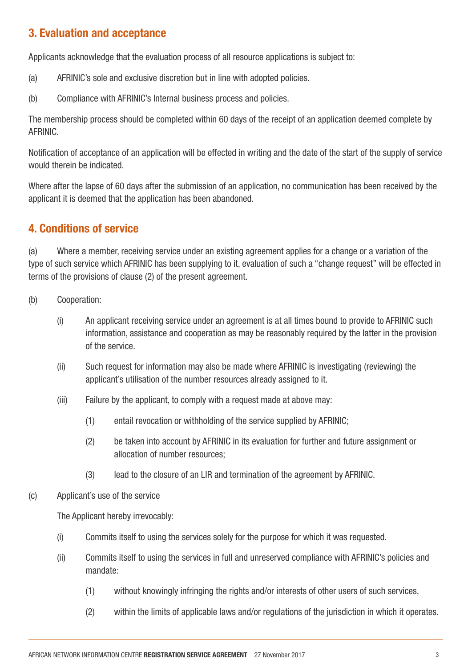#### 3. Evaluation and acceptance

Applicants acknowledge that the evaluation process of all resource applications is subject to:

- (a) AFRINIC's sole and exclusive discretion but in line with adopted policies.
- (b) Compliance with AFRINIC's Internal business process and policies.

The membership process should be completed within 60 days of the receipt of an application deemed complete by AFRINIC.

Notification of acceptance of an application will be effected in writing and the date of the start of the supply of service would therein be indicated.

Where after the lapse of 60 days after the submission of an application, no communication has been received by the applicant it is deemed that the application has been abandoned.

# 4. Conditions of service

(a) Where a member, receiving service under an existing agreement applies for a change or a variation of the type of such service which AFRINIC has been supplying to it, evaluation of such a "change request" will be effected in terms of the provisions of clause (2) of the present agreement.

- (b) Cooperation:
	- (i) An applicant receiving service under an agreement is at all times bound to provide to AFRINIC such information, assistance and cooperation as may be reasonably required by the latter in the provision of the service.
	- (ii) Such request for information may also be made where AFRINIC is investigating (reviewing) the applicant's utilisation of the number resources already assigned to it.
	- (iii) Failure by the applicant, to comply with a request made at above may:
		- (1) entail revocation or withholding of the service supplied by AFRINIC;
		- (2) be taken into account by AFRINIC in its evaluation for further and future assignment or allocation of number resources;
		- (3) lead to the closure of an LIR and termination of the agreement by AFRINIC.
- (c) Applicant's use of the service

The Applicant hereby irrevocably:

- (i) Commits itself to using the services solely for the purpose for which it was requested.
- (ii) Commits itself to using the services in full and unreserved compliance with AFRINIC's policies and mandate:
	- (1) without knowingly infringing the rights and/or interests of other users of such services,
	- (2) within the limits of applicable laws and/or regulations of the jurisdiction in which it operates.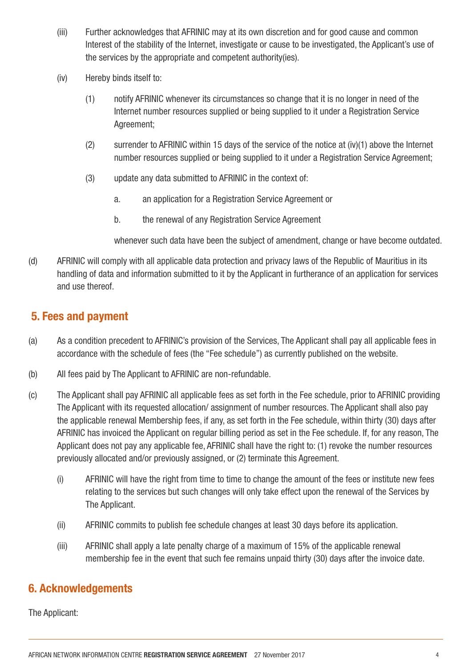- (iii) Further acknowledges that AFRINIC may at its own discretion and for good cause and common Interest of the stability of the Internet, investigate or cause to be investigated, the Applicant's use of the services by the appropriate and competent authority(ies).
- (iv) Hereby binds itself to:
	- (1) notify AFRINIC whenever its circumstances so change that it is no longer in need of the Internet number resources supplied or being supplied to it under a Registration Service Agreement;
	- (2) surrender to AFRINIC within 15 days of the service of the notice at (iv)(1) above the Internet number resources supplied or being supplied to it under a Registration Service Agreement;
	- (3) update any data submitted to AFRINIC in the context of:
		- a. an application for a Registration Service Agreement or
		- b. the renewal of any Registration Service Agreement

whenever such data have been the subject of amendment, change or have become outdated.

(d) AFRINIC will comply with all applicable data protection and privacy laws of the Republic of Mauritius in its handling of data and information submitted to it by the Applicant in furtherance of an application for services and use thereof.

### 5. Fees and payment

- (a) As a condition precedent to AFRINIC's provision of the Services, The Applicant shall pay all applicable fees in accordance with the schedule of fees (the "Fee schedule") as currently published on the website.
- (b) All fees paid by The Applicant to AFRINIC are non-refundable.
- (c) The Applicant shall pay AFRINIC all applicable fees as set forth in the Fee schedule, prior to AFRINIC providing The Applicant with its requested allocation/ assignment of number resources. The Applicant shall also pay the applicable renewal Membership fees, if any, as set forth in the Fee schedule, within thirty (30) days after AFRINIC has invoiced the Applicant on regular billing period as set in the Fee schedule. If, for any reason, The Applicant does not pay any applicable fee, AFRINIC shall have the right to: (1) revoke the number resources previously allocated and/or previously assigned, or (2) terminate this Agreement.
	- (i) AFRINIC will have the right from time to time to change the amount of the fees or institute new fees relating to the services but such changes will only take effect upon the renewal of the Services by The Applicant.
	- (ii) AFRINIC commits to publish fee schedule changes at least 30 days before its application.
	- (iii) AFRINIC shall apply a late penalty charge of a maximum of 15% of the applicable renewal membership fee in the event that such fee remains unpaid thirty (30) days after the invoice date.

### 6. Acknowledgements

The Applicant: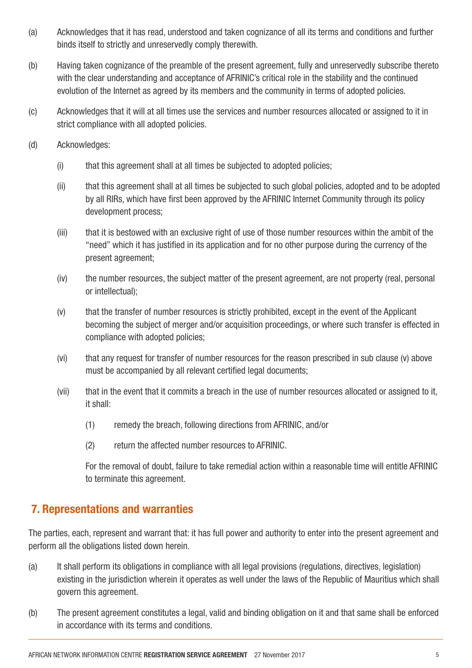- (a) Acknowledges that it has read, understood and taken cognizance of all its terms and conditions and further binds itself to strictly and unreservedly comply therewith.
- (b) Having taken cognizance of the preamble of the present agreement, fully and unreservedly subscribe thereto with the clear understanding and acceptance of AFRINIC's critical role in the stability and the continued evolution of the Internet as agreed by its members and the community in terms of adopted policies.
- (c) Acknowledges that it will at all times use the services and number resources allocated or assigned to it in strict compliance with all adopted policies.
- (d) Acknowledges:
	- (i) that this agreement shall at all times be subjected to adopted policies;
	- (ii) that this agreement shall at all times be subjected to such global policies, adopted and to be adopted by all RIRs, which have first been approved by the AFRINIC Internet Community through its policy development process;
	- (iii) that it is bestowed with an exclusive right of use of those number resources within the ambit of the "need" which it has justified in its application and for no other purpose during the currency of the present agreement;
	- (iv) the number resources, the subject matter of the present agreement, are not property (real, personal or intellectual);
	- (v) that the transfer of number resources is strictly prohibited, except in the event of the Applicant becoming the subject of merger and/or acquisition proceedings, or where such transfer is effected in compliance with adopted policies;
	- (vi) that any request for transfer of number resources for the reason prescribed in sub clause (v) above must be accompanied by all relevant certified legal documents;
	- (vii) that in the event that it commits a breach in the use of number resources allocated or assigned to it, it shall:
		- (1) remedy the breach, following directions from AFRINIC, and/or
		- (2) return the affected number resources to AFRINIC.

For the removal of doubt, failure to take remedial action within a reasonable time will entitle AFRINIC to terminate this agreement.

# 7. Representations and warranties

The parties, each, represent and warrant that: it has full power and authority to enter into the present agreement and perform all the obligations listed down herein.

- (a) It shall perform its obligations in compliance with all legal provisions (regulations, directives, legislation) existing in the jurisdiction wherein it operates as well under the laws of the Republic of Mauritius which shall govern this agreement.
- (b) The present agreement constitutes a legal, valid and binding obligation on it and that same shall be enforced in accordance with its terms and conditions.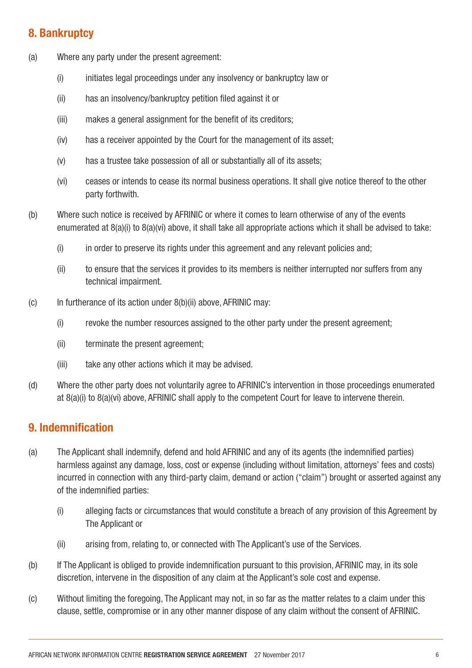### 8. Bankruptcy

- (a) Where any party under the present agreement:
	- (i) initiates legal proceedings under any insolvency or bankruptcy law or
	- (ii) has an insolvency/bankruptcy petition filed against it or
	- (iii) makes a general assignment for the benefit of its creditors;
	- (iv) has a receiver appointed by the Court for the management of its asset;
	- (v) has a trustee take possession of all or substantially all of its assets;
	- (vi) ceases or intends to cease its normal business operations. It shall give notice thereof to the other party forthwith.
- (b) Where such notice is received by AFRINIC or where it comes to learn otherwise of any of the events enumerated at 8(a)(i) to 8(a)(vi) above, it shall take all appropriate actions which it shall be advised to take:
	- (i) in order to preserve its rights under this agreement and any relevant policies and;
	- (ii) to ensure that the services it provides to its members is neither interrupted nor suffers from any technical impairment.
- (c) In furtherance of its action under 8(b)(ii) above, AFRINIC may:
	- (i) revoke the number resources assigned to the other party under the present agreement;
	- (ii) terminate the present agreement;
	- (iii) take any other actions which it may be advised.
- (d) Where the other party does not voluntarily agree to AFRINIC's intervention in those proceedings enumerated at 8(a)(i) to 8(a)(vi) above, AFRINIC shall apply to the competent Court for leave to intervene therein.

### 9. Indemnification

- (a) The Applicant shall indemnify, defend and hold AFRINIC and any of its agents (the indemnified parties) harmless against any damage, loss, cost or expense (including without limitation, attorneys' fees and costs) incurred in connection with any third-party claim, demand or action ("claim") brought or asserted against any of the indemnified parties:
	- (i) alleging facts or circumstances that would constitute a breach of any provision of this Agreement by The Applicant or
	- (ii) arising from, relating to, or connected with The Applicant's use of the Services.
- (b) If The Applicant is obliged to provide indemnification pursuant to this provision, AFRINIC may, in its sole discretion, intervene in the disposition of any claim at the Applicant's sole cost and expense.
- (c) Without limiting the foregoing, The Applicant may not, in so far as the matter relates to a claim under this clause, settle, compromise or in any other manner dispose of any claim without the consent of AFRINIC.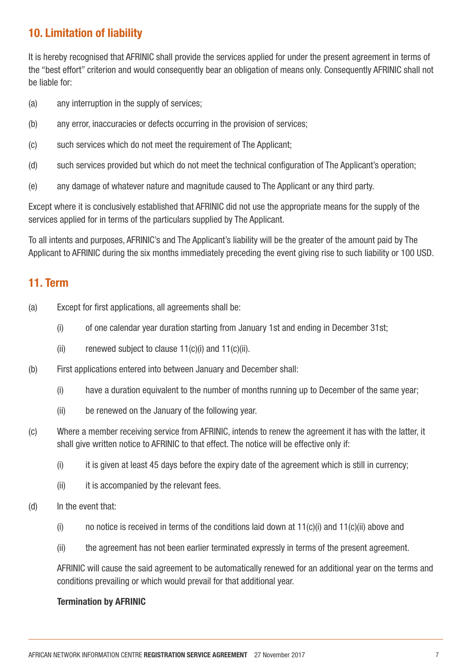# 10. Limitation of liability

It is hereby recognised that AFRINIC shall provide the services applied for under the present agreement in terms of the "best effort" criterion and would consequently bear an obligation of means only. Consequently AFRINIC shall not be liable for:

- (a) any interruption in the supply of services;
- (b) any error, inaccuracies or defects occurring in the provision of services;
- (c) such services which do not meet the requirement of The Applicant;
- (d) such services provided but which do not meet the technical configuration of The Applicant's operation;
- (e) any damage of whatever nature and magnitude caused to The Applicant or any third party.

Except where it is conclusively established that AFRINIC did not use the appropriate means for the supply of the services applied for in terms of the particulars supplied by The Applicant.

To all intents and purposes, AFRINIC's and The Applicant's liability will be the greater of the amount paid by The Applicant to AFRINIC during the six months immediately preceding the event giving rise to such liability or 100 USD.

#### 11. Term

- (a) Except for first applications, all agreements shall be:
	- (i) of one calendar year duration starting from January 1st and ending in December 31st;
	- (ii) renewed subject to clause  $11(c)(i)$  and  $11(c)(ii)$ .
- (b) First applications entered into between January and December shall:
	- (i) have a duration equivalent to the number of months running up to December of the same year;
	- (ii) be renewed on the January of the following year.
- (c) Where a member receiving service from AFRINIC, intends to renew the agreement it has with the latter, it shall give written notice to AFRINIC to that effect. The notice will be effective only if:
	- $(i)$  it is given at least 45 days before the expiry date of the agreement which is still in currency;
	- (ii) it is accompanied by the relevant fees.
- (d) In the event that:
	- $(i)$  no notice is received in terms of the conditions laid down at 11(c)(i) and 11(c)(ii) above and
	- (ii) the agreement has not been earlier terminated expressly in terms of the present agreement.

AFRINIC will cause the said agreement to be automatically renewed for an additional year on the terms and conditions prevailing or which would prevail for that additional year.

#### Termination by AFRINIC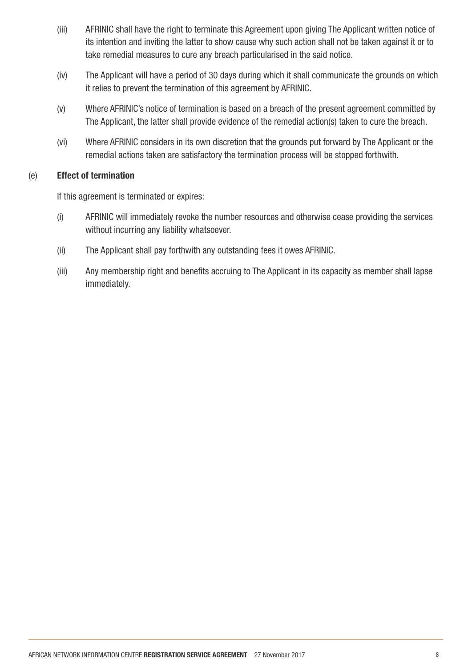- (iii) AFRINIC shall have the right to terminate this Agreement upon giving The Applicant written notice of its intention and inviting the latter to show cause why such action shall not be taken against it or to take remedial measures to cure any breach particularised in the said notice.
- (iv) The Applicant will have a period of 30 days during which it shall communicate the grounds on which it relies to prevent the termination of this agreement by AFRINIC.
- (v) Where AFRINIC's notice of termination is based on a breach of the present agreement committed by The Applicant, the latter shall provide evidence of the remedial action(s) taken to cure the breach.
- (vi) Where AFRINIC considers in its own discretion that the grounds put forward by The Applicant or the remedial actions taken are satisfactory the termination process will be stopped forthwith.

#### (e) Effect of termination

If this agreement is terminated or expires:

- (i) AFRINIC will immediately revoke the number resources and otherwise cease providing the services without incurring any liability whatsoever.
- (ii) The Applicant shall pay forthwith any outstanding fees it owes AFRINIC.
- (iii) Any membership right and benefits accruing to The Applicant in its capacity as member shall lapse immediately.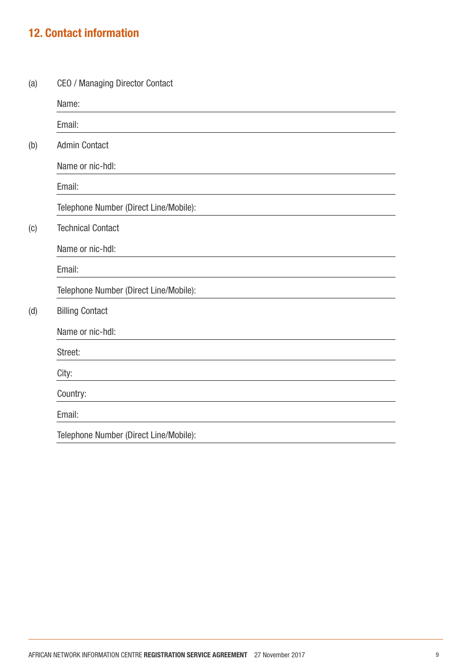# 12. Contact information

(a) CEO / Managing Director Contact Name: Email:

|                   | EIIIdii.                               |
|-------------------|----------------------------------------|
| (b)               | <b>Admin Contact</b>                   |
|                   | Name or nic-hdl:                       |
|                   | Email:                                 |
|                   | Telephone Number (Direct Line/Mobile): |
| $\left( 0\right)$ | <b>Technical Contact</b>               |
|                   | Name or nic-hdl:                       |
|                   | Email:                                 |
|                   | Telephone Number (Direct Line/Mobile): |
| (d)               | <b>Billing Contact</b>                 |
|                   | Name or nic-hdl:                       |
|                   | Street:                                |
|                   | City:                                  |
|                   | Country:                               |
|                   | Email:                                 |
|                   | Telephone Number (Direct Line/Mobile): |
|                   |                                        |